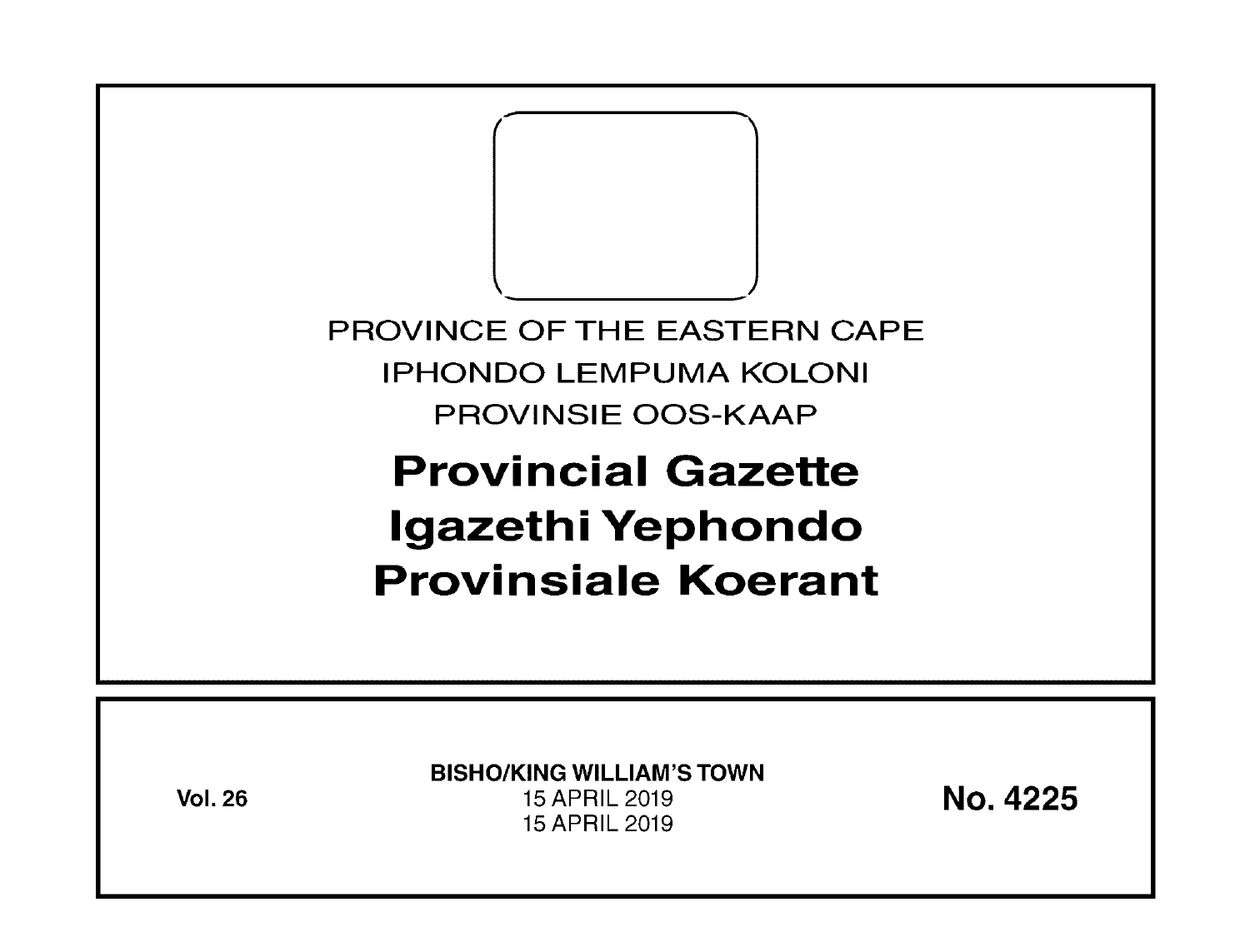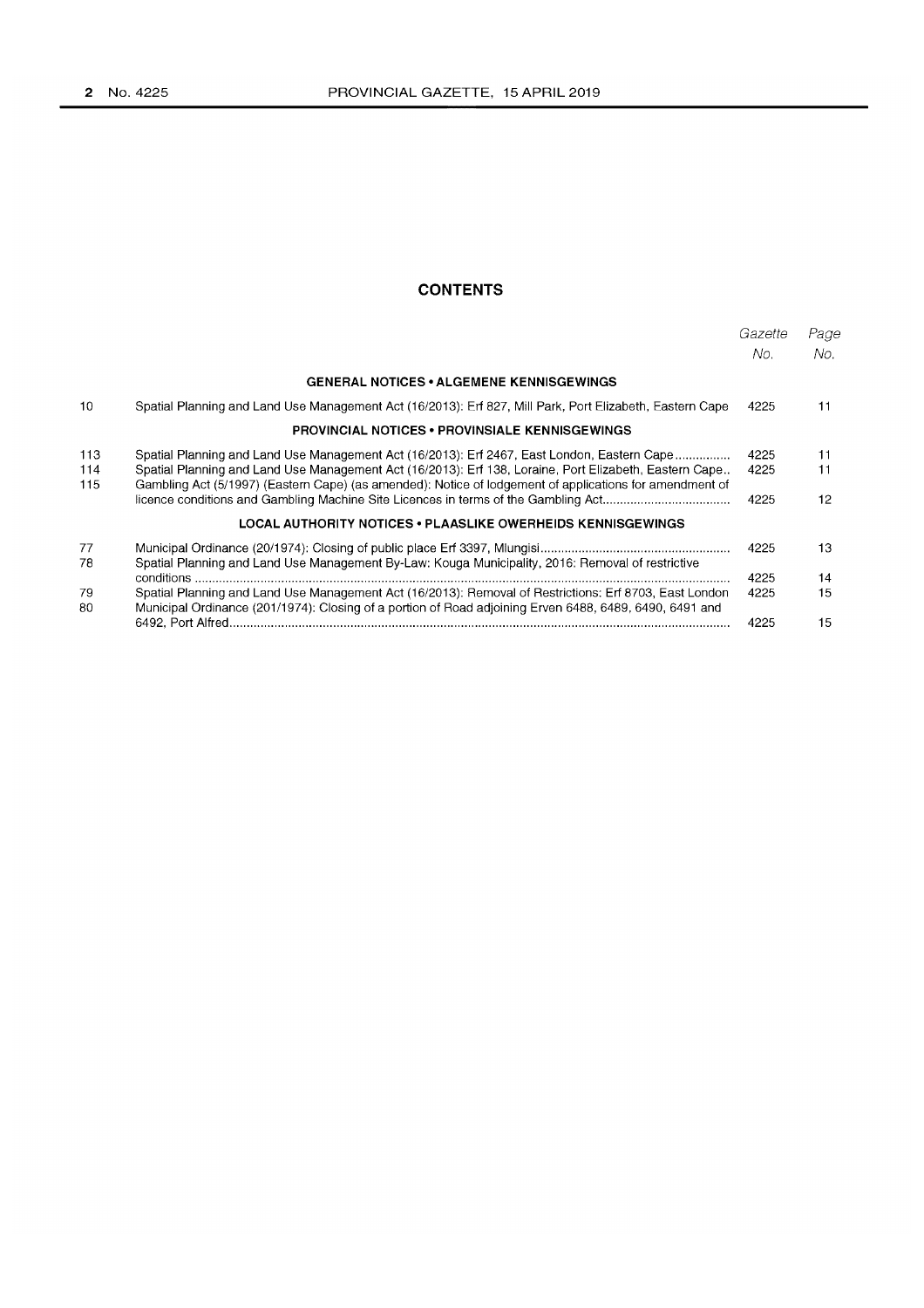#### **CONTENTS**

|                   |                                                                                                                                                                                                                                                                                                                  | Gazette<br>No.       | Page<br>No. |
|-------------------|------------------------------------------------------------------------------------------------------------------------------------------------------------------------------------------------------------------------------------------------------------------------------------------------------------------|----------------------|-------------|
|                   | <b>GENERAL NOTICES • ALGEMENE KENNISGEWINGS</b>                                                                                                                                                                                                                                                                  |                      |             |
| 10                | Spatial Planning and Land Use Management Act (16/2013): Erf 827, Mill Park, Port Elizabeth, Eastern Cape                                                                                                                                                                                                         | 4225                 | 11          |
|                   | <b>PROVINCIAL NOTICES • PROVINSIALE KENNISGEWINGS</b>                                                                                                                                                                                                                                                            |                      |             |
| 113<br>114<br>115 | Spatial Planning and Land Use Management Act (16/2013): Erf 2467, East London, Eastern Cape<br>Spatial Planning and Land Use Management Act (16/2013): Erf 138, Loraine, Port Elizabeth, Eastern Cape<br>Gambling Act (5/1997) (Eastern Cape) (as amended). Notice of lodgement of applications for amendment of | 4225<br>4225<br>4225 | 11<br>12    |
|                   | <b>LOCAL AUTHORITY NOTICES • PLAASLIKE OWERHEIDS KENNISGEWINGS</b>                                                                                                                                                                                                                                               |                      |             |
| 77<br>78          | Spatial Planning and Land Use Management By-Law: Kouga Municipality, 2016: Removal of restrictive                                                                                                                                                                                                                | 4225                 | 13          |
|                   |                                                                                                                                                                                                                                                                                                                  | 4225                 | 14          |
| 79<br>80          | Spatial Planning and Land Use Management Act (16/2013): Removal of Restrictions: Erf 8703, East London<br>Municipal Ordinance (201/1974): Closing of a portion of Road adjoining Erven 6488, 6489, 6490, 6491 and                                                                                                | 4225<br>4225         | 15<br>15    |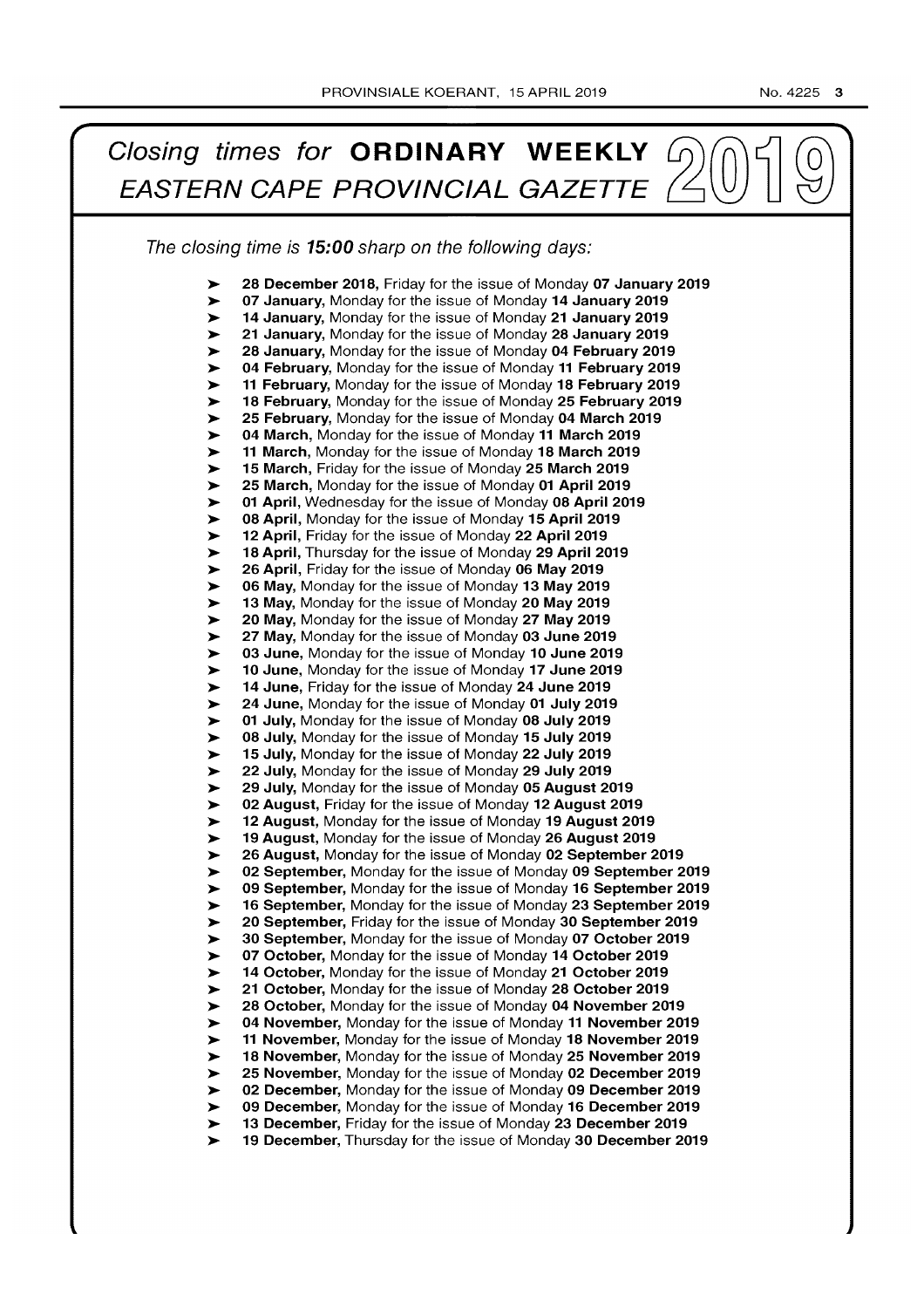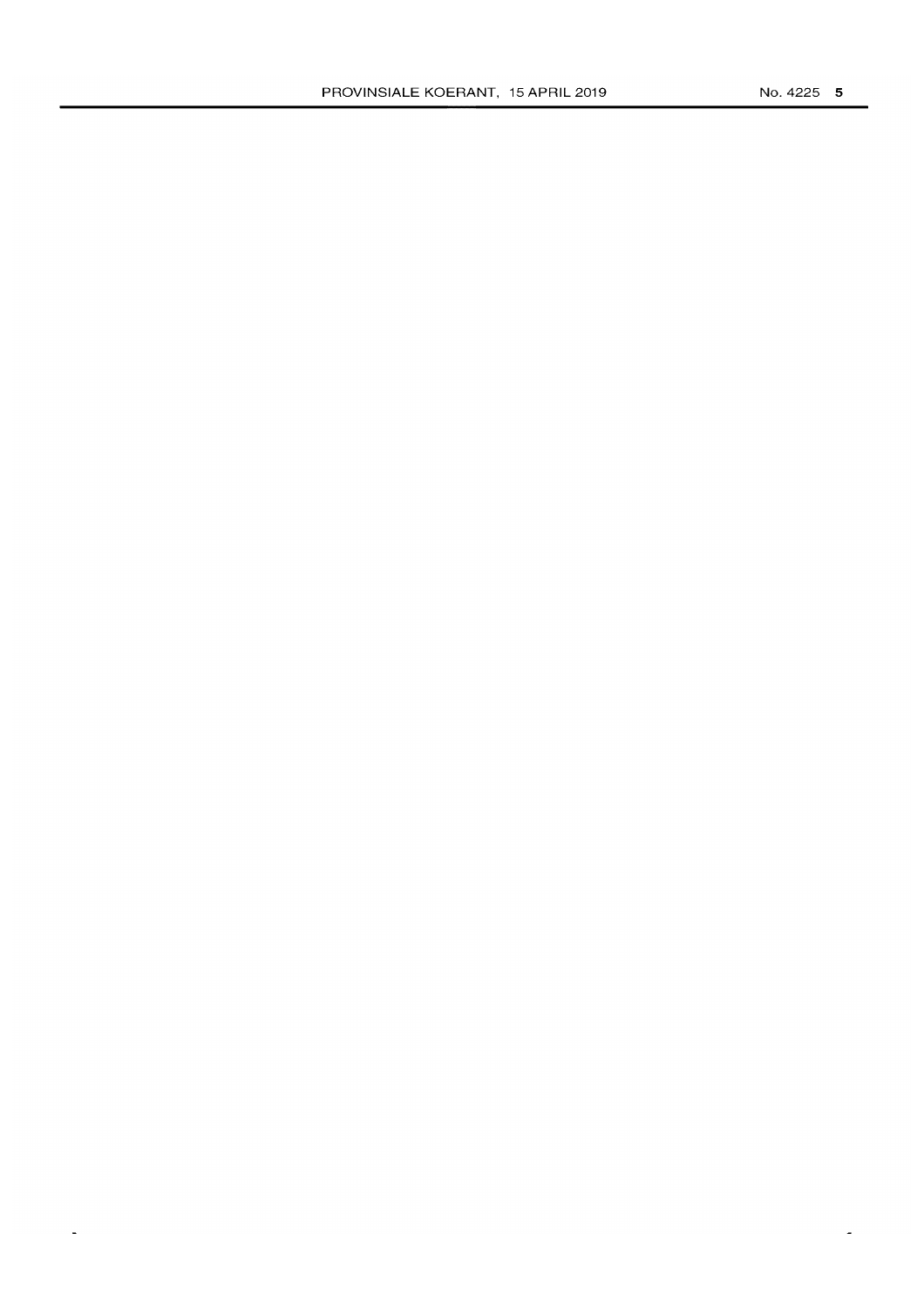$\bar{\mathcal{A}}$ 

 $\overline{\phantom{a}}$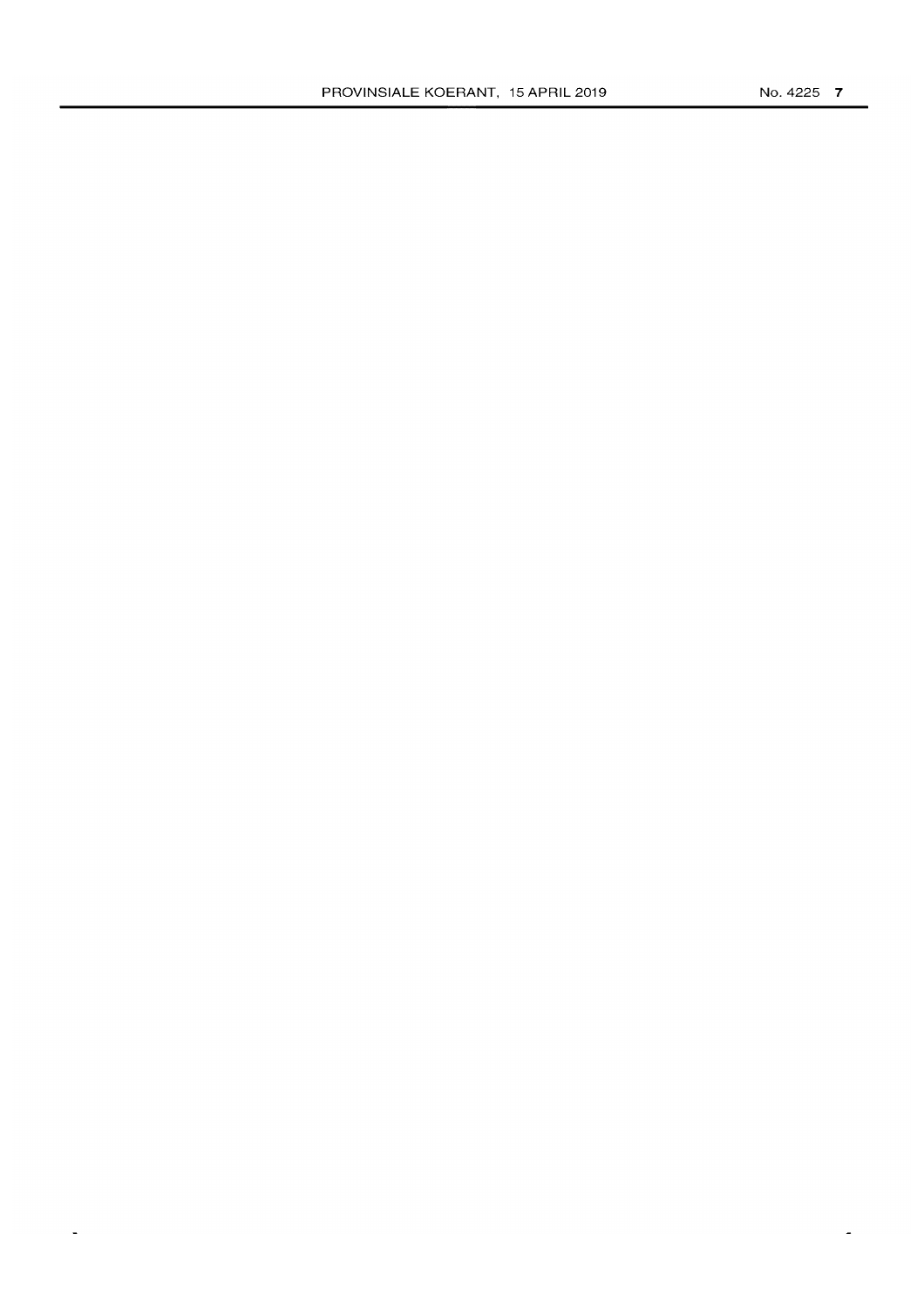$\Box$ 

 $\tilde{\phantom{a}}$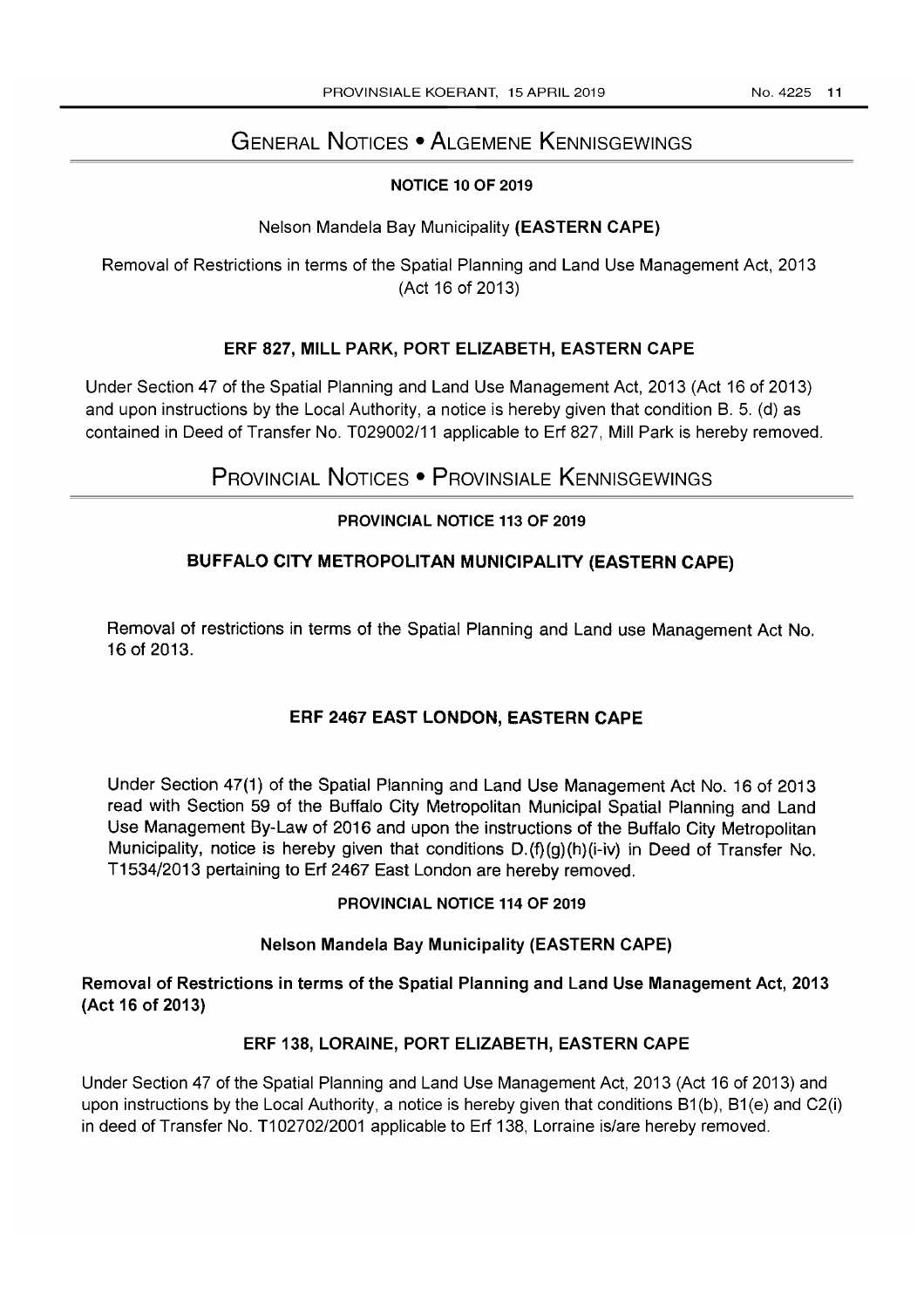# GENERAL NOTICES • ALGEMENE KENNISGEWINGS

### NOTICE 10 OF 2019

### Nelson Mandela Bay Municipality (EASTERN CAPE)

Removal of Restrictions in terms of the Spatial Planning and Land Use Management Act, 2013 (Act 16 of 2013)

### ERF 827, MILL PARK, PORT ELIZABETH, EASTERN CAPE

Under Section 47 of the Spatial Planning and Land Use Management Act, 2013 (Act 16 of 2013) and upon instructions by the Local Authority, a notice is hereby given that condition B. 5. (d) as contained in Deed of Transfer No. T029002/11 applicable to Erf 827, Mill Park is hereby removed.

# PROVINCIAL NOTICES • PROVINSIALE KENNISGEWINGS

### PROVINCIAL NOTICE 113 OF 2019

### BUFFALO CITY METROPOLITAN MUNICIPALITY (EASTERN CAPE)

Removal of restrictions in terms of the Spatial Planning and Land use Management Act No. 160f2013.

### ERF 2467 EAST LONDON, EASTERN CAPE

Under Section 47(1) of the Spatial Planning and Land Use Management Act No. 16 of 2013 read with Section 59 of the Buffalo City Metropolitan Municipal Spatial Planning and Land Use Management By-Law of 2016 and upon the instructions of the Buffalo City Metropolitan Municipality, notice is hereby given that conditions D.(f)(g)(h)(i-iv) in Deed of Transfer No. T1534/2013 pertaining to Erf 2467 East London are hereby removed.

#### PROVINCIAL NOTICE 114 OF 2019

### Nelson Mandela Bay Municipality (EASTERN CAPE)

### Removal of Restrictions in terms of the Spatial Planning and Land Use Management Act, 2013 (Act 16 of 2013)

### ERF 138, LORAINE, PORT ELIZABETH, EASTERN CAPE

Under Section 47 of the Spatial Planning and Land Use Management Act, 2013 (Act 16 of 2013) and upon instructions by the Local Authority, a notice is hereby given that conditions B1 (b), B1 (e) and C2(i) in deed of Transfer No. T102702/2001 applicable to Erf 138, Lorraine is/are hereby removed.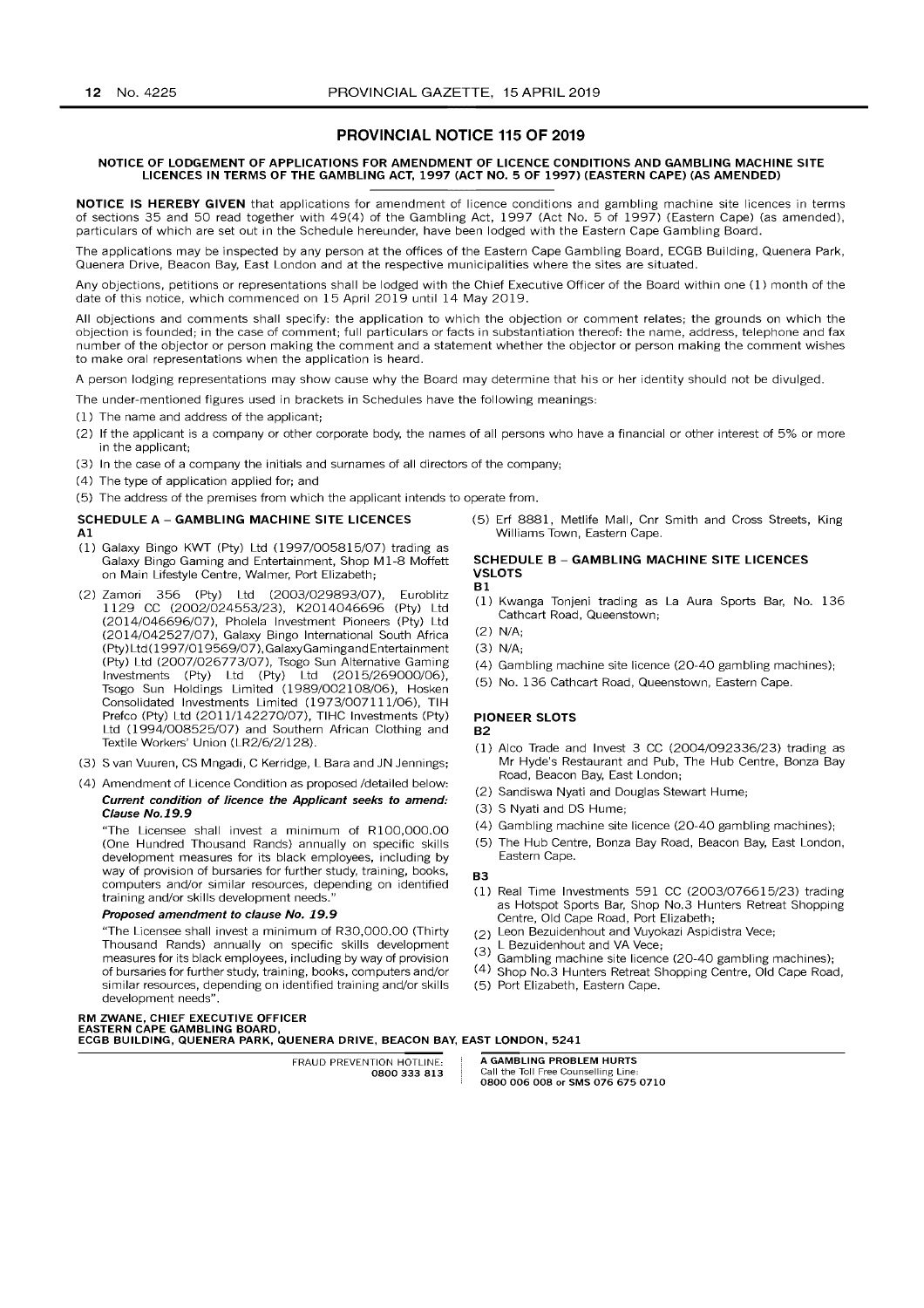#### PROVINCIAL NOTICE 115 OF 2019

#### NOTICE OF LODGEMENT OF APPLICATIONS FOR AMENDMENT OF LICENCE CONDITIONS AND GAMBLING MACHINE SITE LICENCES IN TERMS OF THE GAMBLING ACT, 1997 (ACT NO.5 OF 1997) (EASTERN CAPE) (AS AMENDED)

NOTICE IS HEREBY GIVEN that applications for amendment of licence conditions and gambling machine site licences in terms of sections 35 and 50 read together with 49(4) of the Gambling Act, 1997 (Act NO.5 of 1997) (Eastern Cape) (as amended), particulars of which are set out in the Schedule hereunder, have been lodged with the Eastern Cape Gambling Board.

The applications may be inspected by any person at the offices of the Eastern Cape Gambling Board, ECGB Building, Quenera Park, Quenera Drive, Beacon Bay, East London and at the respective municipalities where the sites are situated.

Any objections, petitions or representations shall be lodged with the Chief Executive Officer of the Board within one (1) month of the date of this notice, which commenced on 15 April 2019 until 14 May 2019.

All objections and comments shall specify: the application to which the objection or comment relates; the grounds on which the objection is founded; in the case of comment; full particulars or facts in substantiation thereof: the name, address, telephone and fax number of the objector or person making the comment and a statement whether the objector or person making the comment wishes to make oral representations when the application is heard.

A person lodging representations may show cause why the Board may determine that his or her identity should not be divulged.

The under-mentioned figures used in brackets in Schedules have the following meanings:

- (1) The name and address of the applicant;
- (2) If the applicant is a company or other corporate body, the names of all persons who have a financial or other interest of 5% or more in the applicant;
- (3) In the case of a company the initials and surnames of all directors of the company;
- (4) The type of application applied for; and
- (5) The address of the premises from which the applicant intends to operate from.

#### SCHEDULE A - GAMBLING MACHINE SITE LICENCES Al

- 0) Galaxy Bingo KWT (Pty) Ltd 0997/005815/07) trading as Galaxy Bingo Gaming and Entertainment, Shop M1-8 Moffett on Main Lifestyle Centre, Walmer, Port Elizabeth;
- (2) Zamori 356 (Pty) Ltd (2003/029893/07), Euroblitz 1129 CC (2002/024553/23), K2014046696 (Pty) Ltd (2014/046696/07), Pholela Investment Pioneers (Pty) Ltd (2014/042527/07), Galaxy Bingo International South Africa (Pty) Ltd (1997/019569/07), GalaxyGamingand Entertainment (Pty) Ltd (2007/026773/07), Tsogo Sun Alternative Gaming Investments (Pty) Ltd (Pty) Ltd (2015/269000/06), Tsogo Sun Holdings Limited (1989/002108/06), Hosken Consolidated Investments Limited (1973/007111/06), TIH Prefco (pty) Ltd (2011/142270/07), TIHC Investments (Pty) Ltd (1994/008525/07) and Southern African Clothing and Textile Workers' Union (LR2/6/2/128).
- (3) S van Vuuren, CS Mngadi, C Kerridge, L Bara and JN Jennings;

#### (4) Amendment of Licence Condition as proposed /detailed below: Current condition of licence the Applicant seeks to amend: Clause No.19.9

"The Licensee shall invest a minimum of RI00,000.00 (One Hundred Thousand Rands) annually on specific skills development measures for its black employees, including by way of provision of bursaries for further study, training, books, computers and/or similar resources, depending on identified training and/or skills development needs."

#### Proposed amendment to clause No. 19.9

"The Licensee shall invest a minimum of R30,000.00 (Thirty Thousand Rands) annually on specific skills development measures for its black employees, including by way of provision of bursaries for further study, training, books, computers and/or similar resources, depending on identified training and/or skills development needs".

(5) Erf 8881, Metlife Mall, Cnr Smith and Cross Streets, King Williams Town, Eastern Cape.

#### SCHEDULE B - GAMBLING MACHINE SITE LICENCES **VSLOTS** Bl

- 0) Kwanga Tonjeni trading as La Aura Sports Bar, No. 136 Cathcart Road, Queenstown;
- (2) N/A;
- (3) N/A;
- (4) Gambling machine site licence (20-40 gambling machines);
- (5) No. 136 Cathcart Road, Queenstown, Eastern Cape.

#### PIONEER SLOTS

#### 0) Alco Trade and Invest 3 CC (2004/092336/23) trading as Mr Hyde's Restaurant and Pub, The Hub Centre, Bonza Bay Road, Beacon Bay, East London;

- (2) Sandiswa Nyati and Douglas Stewart Hume;
- (3) S Nyati and DS Hume;
- (4) Gambling machine site licence (20-40 gambling machines);
- (5) The Hub Centre, Bonza Bay Road, Beacon Bay, East London, Eastern Cape.

B3

B<sub>2</sub>

- (1) Real Time Investments 591 CC (2003/076615/23) trading as Hotspot Sports Bar, Shop NO.3 Hunters Retreat Shopping Centre, Old Cape Road, Port Elizabeth;
- (2) Leon Bezuidenhout and Vuyokazi Aspidistra Vece;
- (3) L Bezuidenhout and VA Vece;
- Gambling machine site licence (20-40 gambling machines);
- (4) Shop NO.3 Hunters Retreat Shopping Centre, Old Cape Road,
- (5) Port Elizabeth, Eastern Cape.

# RM ZWANE, CHIEF EXECUTIVE OFFICER<br>EASTERN CAPE GAMBLING BOARD,<br>ECGB BUILDING, QUENERA PARK, QUENERA DRIVE, BEACON BAY, EAST LONDON, 5241

FRAUD PREVENTION HOTLINE, 0800 333 813 A GAMBLING PROBLEM HURTS Call the Toll Free Counselling Line:<br>0800 006 008 or SMS 076 675 0710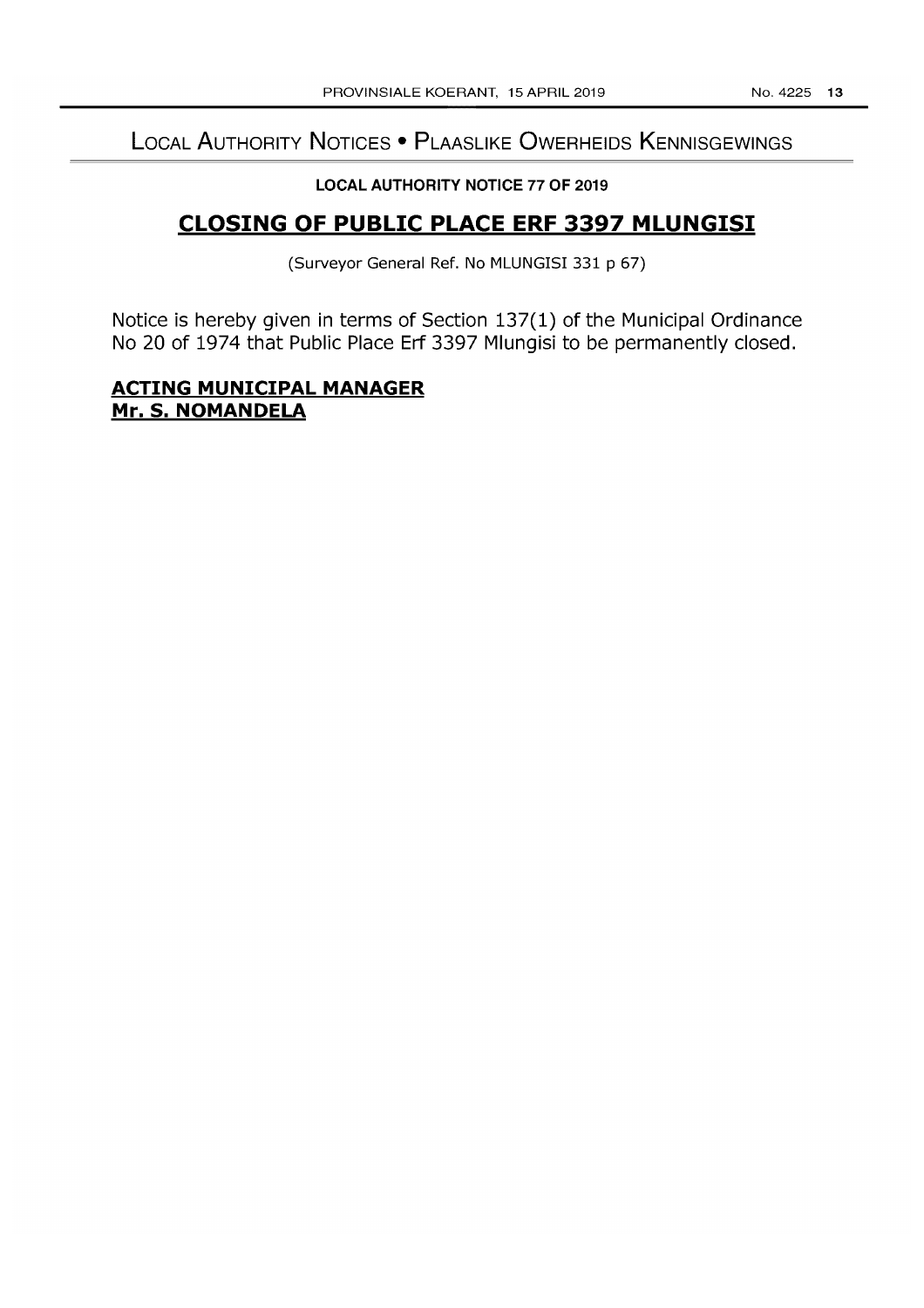# LOCAL AUTHORITY NOTICES • PLAASLIKE OWERHEIDS KENNISGEWINGS

### **LOCAL AUTHORITY NOTICE 77 OF 2019**

# **CLOSING OF PUBLIC PLACE ERF 3397 MLUNGISI**

(Surveyor General Ref. No MLUNGISI 331 p 67)

Notice is hereby given in terms of Section 137(1) of the Municipal Ordinance No 20 of 1974 that Public Place **Erf** 3397 Mlungisi to be permanently closed.

## **ACTING MUNICIPAL MANAGER Mr. S. NOMANDELA**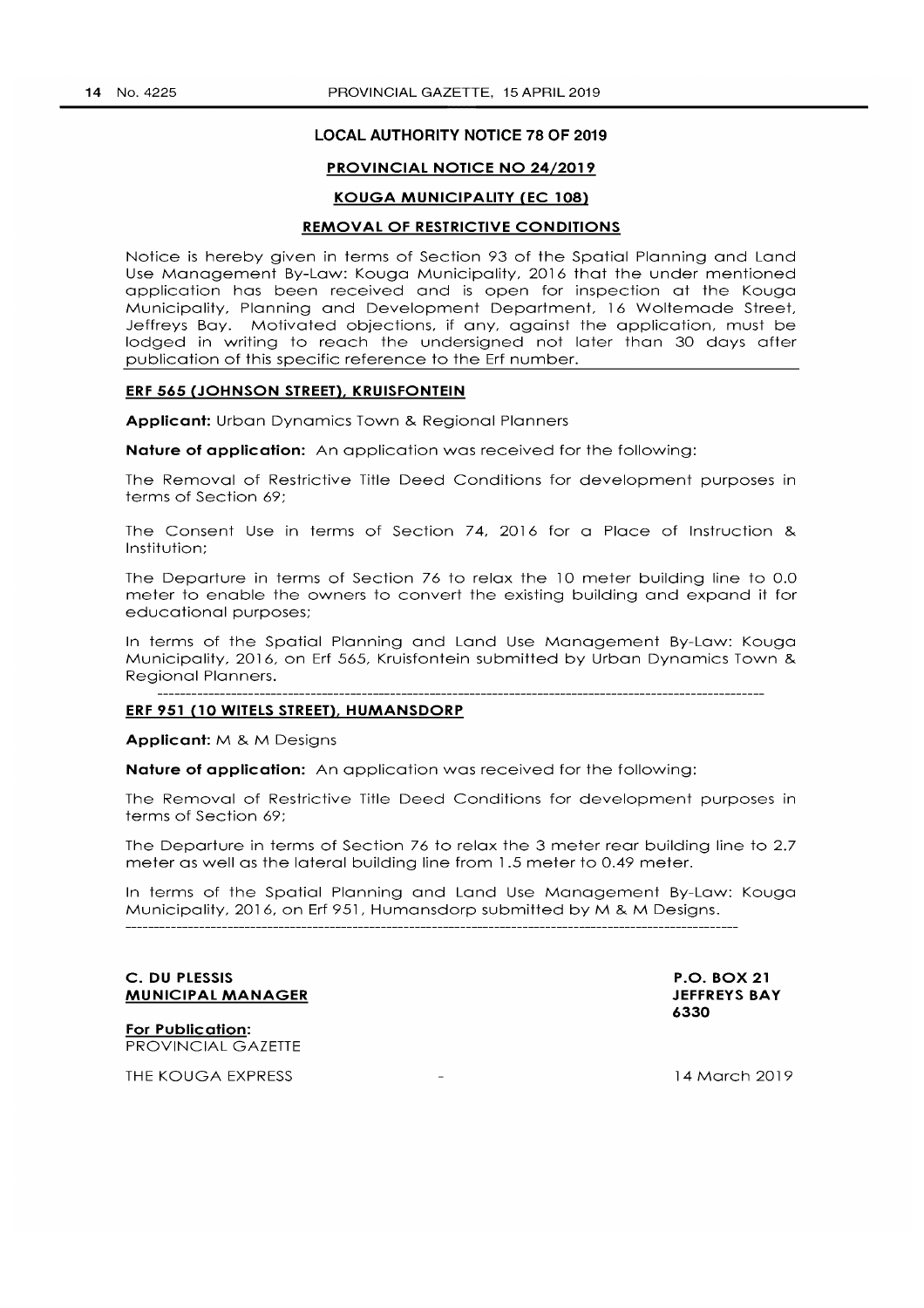#### **LOCAL AUTHORITY NOTICE 78 OF 2019**

#### **PROVINCIAL NOTICE NO 24/2019**

#### **KOUGA MUNICIPALITY (EC 108)**

#### **REMOVAL OF RESTRICTIVE CONDITIONS**

Notice is hereby given in terms of Section 93 of the Spatial Planning and Land Use Management By-Law: Kouga Municipality, 2016 that the under mentioned application has been received and is open for inspection at the Kouga Municipality, Planning and Development Department, 16 Woltemade Street, Jeffreys Bay. Motivated objections, if any, against the application, must be lodged in writing to reach the undersigned not later than 30 days after publication of this specific reference to the Erf number.

#### **ERF 565 (JOHNSON STREET), KRUISFONTEIN**

**Applicant:** Urban Dynamics Town & Regional Planners

**Nature of application:** An application was received for the following:

The Removal of Restrictive Title Deed Conditions for development purposes in terms of Section 69;

The Consent Use in terms of Section 74, 2016 for a Place of Instruction & Institution;

The Departure in terms of Section 76 to relax the 10 meter building line to 0.0 meter to enable the owners to convert the existing building and expand it for educational purposes;

In terms of the Spatial Planning and Land Use Management By-Law: Kouga Municipality, 2016, on Erf 565, Kruisfontein submitted by Urban Dynamics Town & Regional Planners.

#### **ERF 951 (10 WITELS STREET), HUMANSDORP**

**Applicant:** M & M Designs

**Nature of application:** An application was received for the following:

The Removal of Restrictive Title Deed Conditions for development purposes in terms of Section 69;

The Departure in terms of Section 76 to relax the 3 meter rear building line to 2.7 meter as well as the lateral building line from 1.5 meter to 0.49 meter.

In terms of the Spatial Planning and Land Use Management By-Law: Kouga Municipality, 2016, on Erf 951, Humansdorp submitted by M & M Designs.

#### **C. DU PLESSIS MUNICIPAL MANAGER**

**P.O. BOX 21 JEFFREYS BAY 6330** 

**For Publication:**  PROVINCIAL GAZETTE

THE KOUGA EXPRESS

14 March 2019